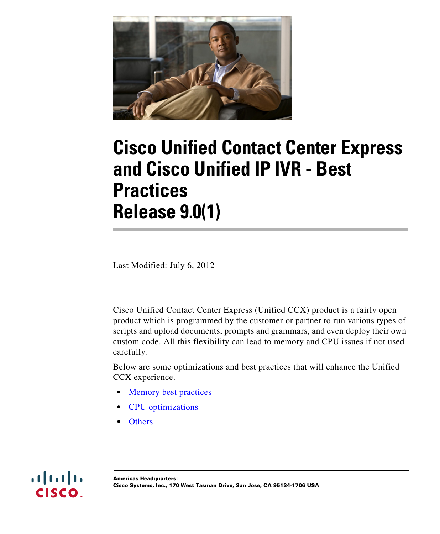

# **Cisco Unified Contact Center Express and Cisco Unified IP IVR - Best Practices Release 9.0(1)**

Last Modified: July 6, 2012

Cisco Unified Contact Center Express (Unified CCX) product is a fairly open product which is programmed by the customer or partner to run various types of scripts and upload documents, prompts and grammars, and even deploy their own custom code. All this flexibility can lead to memory and CPU issues if not used carefully.

Below are some optimizations and best practices that will enhance the Unified CCX experience.

- **•** [Memory best practices](#page-1-0)
- **•** [CPU optimizations](#page-3-0)
- **•** [Others](#page-5-0)

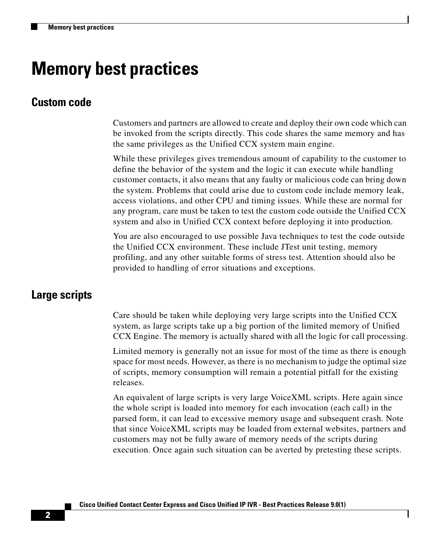# <span id="page-1-0"></span>**Memory best practices**

#### **Custom code**

Customers and partners are allowed to create and deploy their own code which can be invoked from the scripts directly. This code shares the same memory and has the same privileges as the Unified CCX system main engine.

While these privileges gives tremendous amount of capability to the customer to define the behavior of the system and the logic it can execute while handling customer contacts, it also means that any faulty or malicious code can bring down the system. Problems that could arise due to custom code include memory leak, access violations, and other CPU and timing issues. While these are normal for any program, care must be taken to test the custom code outside the Unified CCX system and also in Unified CCX context before deploying it into production.

You are also encouraged to use possible Java techniques to test the code outside the Unified CCX environment. These include JTest unit testing, memory profiling, and any other suitable forms of stress test. Attention should also be provided to handling of error situations and exceptions.

#### **Large scripts**

Care should be taken while deploying very large scripts into the Unified CCX system, as large scripts take up a big portion of the limited memory of Unified CCX Engine. The memory is actually shared with all the logic for call processing.

Limited memory is generally not an issue for most of the time as there is enough space for most needs. However, as there is no mechanism to judge the optimal size of scripts, memory consumption will remain a potential pitfall for the existing releases.

An equivalent of large scripts is very large VoiceXML scripts. Here again since the whole script is loaded into memory for each invocation (each call) in the parsed form, it can lead to excessive memory usage and subsequent crash. Note that since VoiceXML scripts may be loaded from external websites, partners and customers may not be fully aware of memory needs of the scripts during execution. Once again such situation can be averted by pretesting these scripts.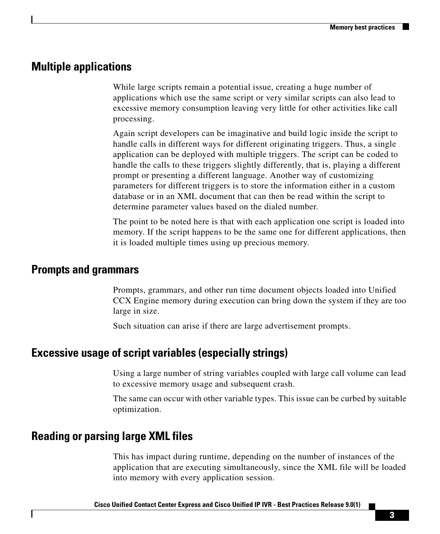### **Multiple applications**

While large scripts remain a potential issue, creating a huge number of applications which use the same script or very similar scripts can also lead to excessive memory consumption leaving very little for other activities like call processing.

Again script developers can be imaginative and build logic inside the script to handle calls in different ways for different originating triggers. Thus, a single application can be deployed with multiple triggers. The script can be coded to handle the calls to these triggers slightly differently, that is, playing a different prompt or presenting a different language. Another way of customizing parameters for different triggers is to store the information either in a custom database or in an XML document that can then be read within the script to determine parameter values based on the dialed number.

The point to be noted here is that with each application one script is loaded into memory. If the script happens to be the same one for different applications, then it is loaded multiple times using up precious memory.

### **Prompts and grammars**

Prompts, grammars, and other run time document objects loaded into Unified CCX Engine memory during execution can bring down the system if they are too large in size.

Such situation can arise if there are large advertisement prompts.

# **Excessive usage of script variables (especially strings)**

Using a large number of string variables coupled with large call volume can lead to excessive memory usage and subsequent crash.

The same can occur with other variable types. This issue can be curbed by suitable optimization.

# **Reading or parsing large XML files**

This has impact during runtime, depending on the number of instances of the application that are executing simultaneously, since the XML file will be loaded into memory with every application session.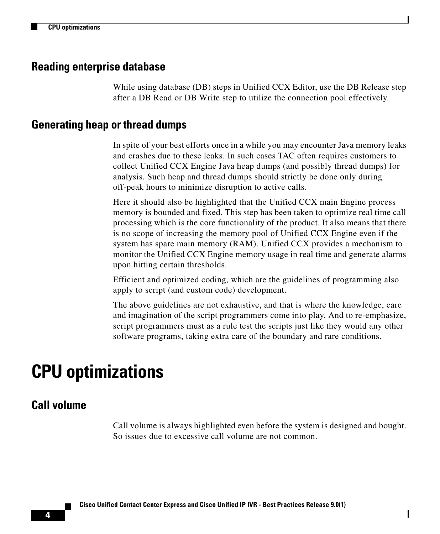#### **Reading enterprise database**

While using database (DB) steps in Unified CCX Editor, use the DB Release step after a DB Read or DB Write step to utilize the connection pool effectively.

#### **Generating heap or thread dumps**

In spite of your best efforts once in a while you may encounter Java memory leaks and crashes due to these leaks. In such cases TAC often requires customers to collect Unified CCX Engine Java heap dumps (and possibly thread dumps) for analysis. Such heap and thread dumps should strictly be done only during off-peak hours to minimize disruption to active calls.

Here it should also be highlighted that the Unified CCX main Engine process memory is bounded and fixed. This step has been taken to optimize real time call processing which is the core functionality of the product. It also means that there is no scope of increasing the memory pool of Unified CCX Engine even if the system has spare main memory (RAM). Unified CCX provides a mechanism to monitor the Unified CCX Engine memory usage in real time and generate alarms upon hitting certain thresholds.

Efficient and optimized coding, which are the guidelines of programming also apply to script (and custom code) development.

The above guidelines are not exhaustive, and that is where the knowledge, care and imagination of the script programmers come into play. And to re-emphasize, script programmers must as a rule test the scripts just like they would any other software programs, taking extra care of the boundary and rare conditions.

# <span id="page-3-0"></span>**CPU optimizations**

#### **Call volume**

Call volume is always highlighted even before the system is designed and bought. So issues due to excessive call volume are not common.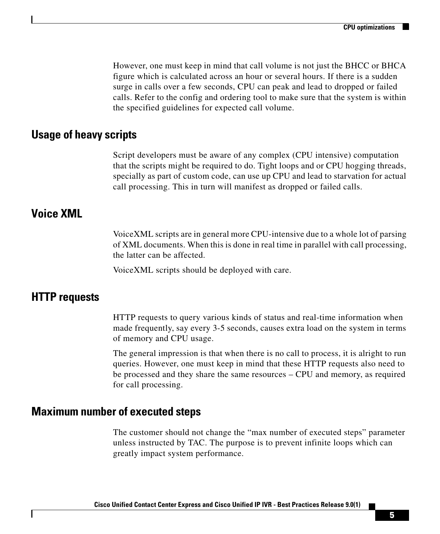However, one must keep in mind that call volume is not just the BHCC or BHCA figure which is calculated across an hour or several hours. If there is a sudden surge in calls over a few seconds, CPU can peak and lead to dropped or failed calls. Refer to the config and ordering tool to make sure that the system is within the specified guidelines for expected call volume.

#### **Usage of heavy scripts**

Script developers must be aware of any complex (CPU intensive) computation that the scripts might be required to do. Tight loops and or CPU hogging threads, specially as part of custom code, can use up CPU and lead to starvation for actual call processing. This in turn will manifest as dropped or failed calls.

#### **Voice XML**

VoiceXML scripts are in general more CPU-intensive due to a whole lot of parsing of XML documents. When this is done in real time in parallel with call processing, the latter can be affected.

VoiceXML scripts should be deployed with care.

### **HTTP requests**

HTTP requests to query various kinds of status and real-time information when made frequently, say every 3-5 seconds, causes extra load on the system in terms of memory and CPU usage.

The general impression is that when there is no call to process, it is alright to run queries. However, one must keep in mind that these HTTP requests also need to be processed and they share the same resources – CPU and memory, as required for call processing.

#### **Maximum number of executed steps**

The customer should not change the "max number of executed steps" parameter unless instructed by TAC. The purpose is to prevent infinite loops which can greatly impact system performance.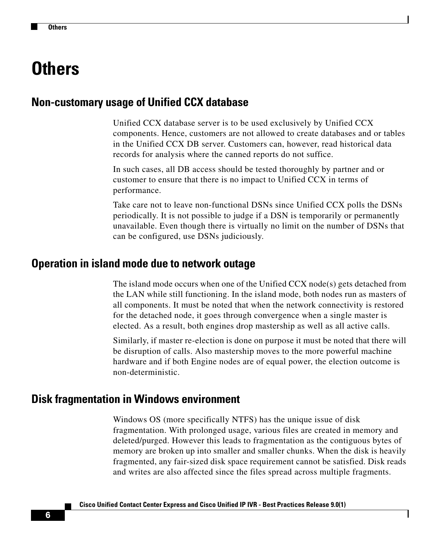# <span id="page-5-0"></span>**Others**

# **Non-customary usage of Unified CCX database**

Unified CCX database server is to be used exclusively by Unified CCX components. Hence, customers are not allowed to create databases and or tables in the Unified CCX DB server. Customers can, however, read historical data records for analysis where the canned reports do not suffice.

In such cases, all DB access should be tested thoroughly by partner and or customer to ensure that there is no impact to Unified CCX in terms of performance.

Take care not to leave non-functional DSNs since Unified CCX polls the DSNs periodically. It is not possible to judge if a DSN is temporarily or permanently unavailable. Even though there is virtually no limit on the number of DSNs that can be configured, use DSNs judiciously.

#### **Operation in island mode due to network outage**

The island mode occurs when one of the Unified CCX node(s) gets detached from the LAN while still functioning. In the island mode, both nodes run as masters of all components. It must be noted that when the network connectivity is restored for the detached node, it goes through convergence when a single master is elected. As a result, both engines drop mastership as well as all active calls.

Similarly, if master re-election is done on purpose it must be noted that there will be disruption of calls. Also mastership moves to the more powerful machine hardware and if both Engine nodes are of equal power, the election outcome is non-deterministic.

#### **Disk fragmentation in Windows environment**

Windows OS (more specifically NTFS) has the unique issue of disk fragmentation. With prolonged usage, various files are created in memory and deleted/purged. However this leads to fragmentation as the contiguous bytes of memory are broken up into smaller and smaller chunks. When the disk is heavily fragmented, any fair-sized disk space requirement cannot be satisfied. Disk reads and writes are also affected since the files spread across multiple fragments.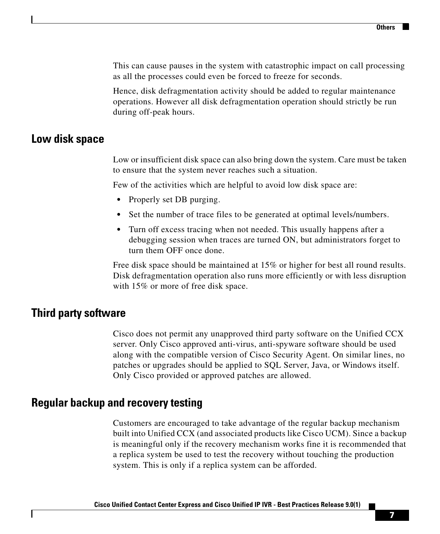This can cause pauses in the system with catastrophic impact on call processing as all the processes could even be forced to freeze for seconds.

Hence, disk defragmentation activity should be added to regular maintenance operations. However all disk defragmentation operation should strictly be run during off-peak hours.

### **Low disk space**

Low or insufficient disk space can also bring down the system. Care must be taken to ensure that the system never reaches such a situation.

Few of the activities which are helpful to avoid low disk space are:

- **•** Properly set DB purging.
- **•** Set the number of trace files to be generated at optimal levels/numbers.
- **•** Turn off excess tracing when not needed. This usually happens after a debugging session when traces are turned ON, but administrators forget to turn them OFF once done.

Free disk space should be maintained at 15% or higher for best all round results. Disk defragmentation operation also runs more efficiently or with less disruption with 15% or more of free disk space.

# **Third party software**

Cisco does not permit any unapproved third party software on the Unified CCX server. Only Cisco approved anti-virus, anti-spyware software should be used along with the compatible version of Cisco Security Agent. On similar lines, no patches or upgrades should be applied to SQL Server, Java, or Windows itself. Only Cisco provided or approved patches are allowed.

# **Regular backup and recovery testing**

Customers are encouraged to take advantage of the regular backup mechanism built into Unified CCX (and associated products like Cisco UCM). Since a backup is meaningful only if the recovery mechanism works fine it is recommended that a replica system be used to test the recovery without touching the production system. This is only if a replica system can be afforded.